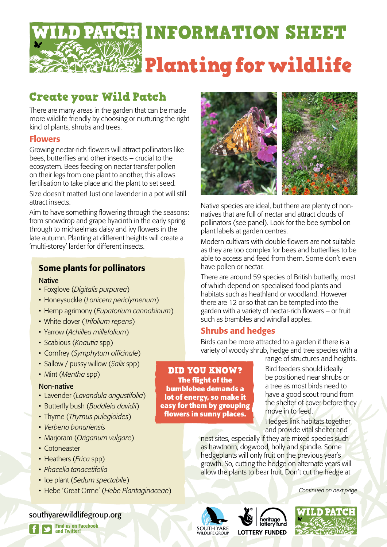

# Create your Wild Patch

There are many areas in the garden that can be made more wildlife friendly by choosing or nurturing the right kind of plants, shrubs and trees.

### Flowers

Growing nectar-rich flowers will attract pollinators like bees, butterflies and other insects – crucial to the ecosystem. Bees feeding on nectar transfer pollen on their legs from one plant to another, this allows fertilisation to take place and the plant to set seed.

Size doesn't matter! Just one lavender in a pot will still attract insects.

Aim to have something flowering through the seasons: from snowdrop and grape hyacinth in the early spring through to michaelmas daisy and ivy flowers in the late autumn. Planting at different heights will create a 'multi-storey' larder for different insects.

## Some plants for pollinators

#### **Native**

- • Foxglove (*Digitalis purpurea*)
- • Honeysuckle (*Lonicera periclymenum*)
- • Hemp agrimony (*Eupatorium cannabinum*)
- White clover (*Trifolium repens*)
- • Yarrow (*Achillea millefolium*)
- • Scabious (*Knautia* spp)
- • Comfrey (*Symphytum officinale*)
- Sallow / pussy willow (*Salix* spp)
- • Mint (*Mentha* spp)

#### Non-native

- • Lavender (*Lavandula angustifolia*)
- • Butterfly bush (*Buddleia davidii*)
- • Thyme (*Thymus pulegioides*)
- • *Verbena bonariensis*
- • Marjoram (*Origanum vulgare*)
- Cotoneaster
- • Heathers (*Erica* spp)
- • *Phacelia tanacetifolia*
- *•*  Ice plant (*Sedum spectabile*)
- • Hebe 'Great Orme' (*Hebe Plantaginaceae*)

#### southyarewildlifegroup.org



Native species are ideal, but there are plenty of nonnatives that are full of nectar and attract clouds of pollinators (see panel). Look for the bee symbol on plant labels at garden centres.

Modern cultivars with double flowers are not suitable as they are too complex for bees and butterflies to be able to access and feed from them. Some don't even have pollen or nectar.

There are around 59 species of British butterfly, most of which depend on specialised food plants and habitats such as heathland or woodland. However there are 12 or so that can be tempted into the garden with a variety of nectar-rich flowers – or fruit such as brambles and windfall apples.

### Shrubs and hedges

Birds can be more attracted to a garden if there is a variety of woody shrub, hedge and tree species with a range of structures and heights.

DID YOU KNOW? **The flight of the bumblebee demands a lot of energy, so make it easy for them by grouping flowers in sunny places.**

Bird feeders should ideally be positioned near shrubs or a tree as most birds need to have a good scout round from the shelter of cover before they move in to feed.

Hedges link habitats together and provide vital shelter and

nest sites, especially if they are mixed species such as hawthorn, dogwood, holly and spindle. Some hedgeplants will only fruit on the previous year's growth. So, cutting the hedge on alternate years will allow the plants to bear fruit. Don't cut the hedge at

*Continued on next page*







Find us on Facebook and Twitter!